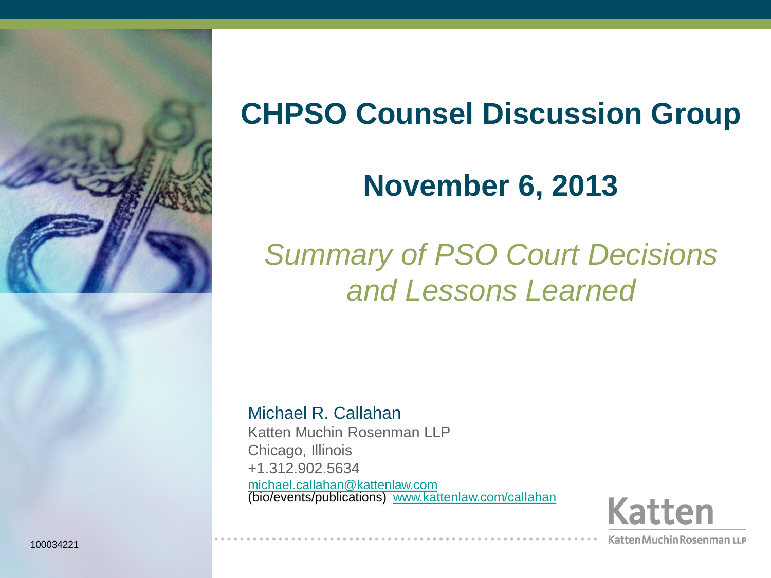

# **CHPSO Counsel Discussion Group**

# **November 6, 2013**

# *Summary of PSO Court Decisions and Lessons Learned*

Michael R. Callahan Katten Muchin Rosenman LLP Chicago, Illinois +1.312.902.5634 [michael.callahan@kattenlaw.com](mailto:michael.callahan@kattenlaw.com) (bio/events/publications) [www.kattenlaw.com/callahan](http://www.kattenlaw.com/callahan)

**Katten** 

Katten Muchin Rosenman LLP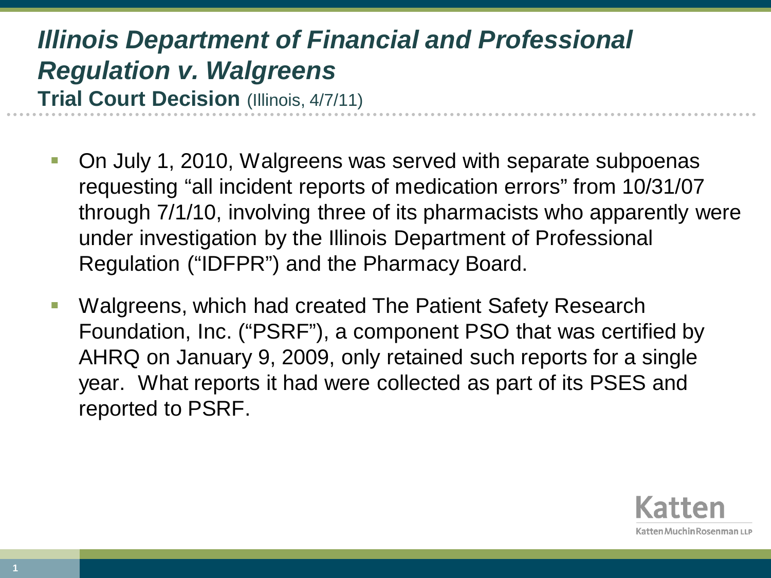- On July 1, 2010, Walgreens was served with separate subpoenas requesting "all incident reports of medication errors" from 10/31/07 through 7/1/10, involving three of its pharmacists who apparently were under investigation by the Illinois Department of Professional Regulation ("IDFPR") and the Pharmacy Board.
- Walgreens, which had created The Patient Safety Research Foundation, Inc. ("PSRF"), a component PSO that was certified by AHRQ on January 9, 2009, only retained such reports for a single year. What reports it had were collected as part of its PSES and reported to PSRF.

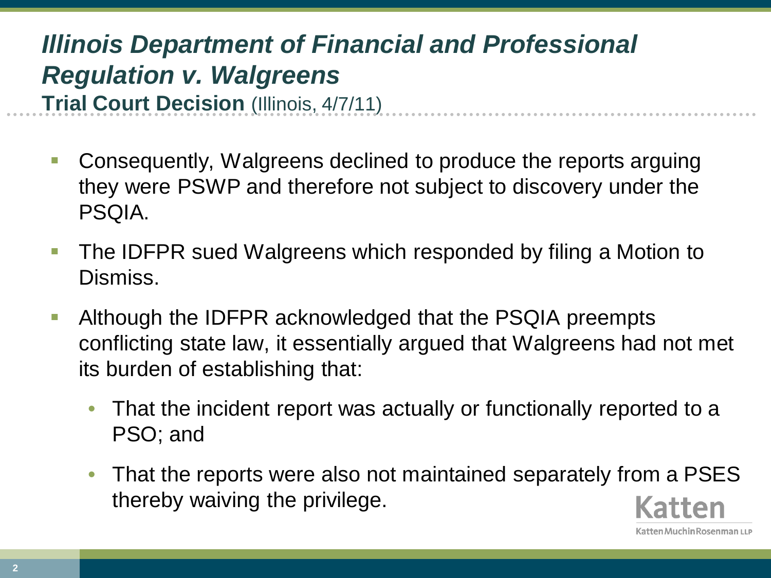**-** Consequently, Walgreens declined to produce the reports arguing they were PSWP and therefore not subject to discovery under the PSQIA.

- The IDFPR sued Walgreens which responded by filing a Motion to Dismiss.
- **Although the IDFPR acknowledged that the PSQIA preempts** conflicting state law, it essentially argued that Walgreens had not met its burden of establishing that:
	- That the incident report was actually or functionally reported to a PSO; and
	- That the reports were also not maintained separately from a PSES thereby waiving the privilege.

Katten Muchin Rosenman เเ.ค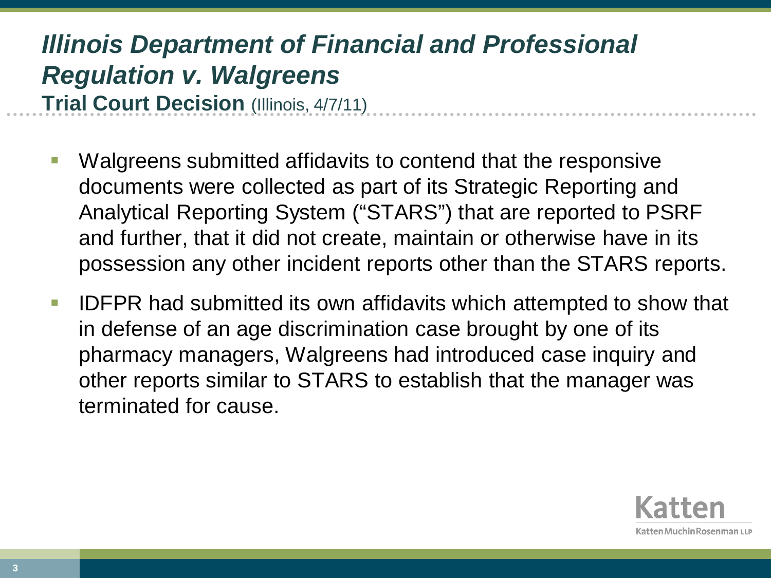- Walgreens submitted affidavits to contend that the responsive documents were collected as part of its Strategic Reporting and Analytical Reporting System ("STARS") that are reported to PSRF and further, that it did not create, maintain or otherwise have in its possession any other incident reports other than the STARS reports.
- **IDFPR had submitted its own affidavits which attempted to show that** in defense of an age discrimination case brought by one of its pharmacy managers, Walgreens had introduced case inquiry and other reports similar to STARS to establish that the manager was terminated for cause.

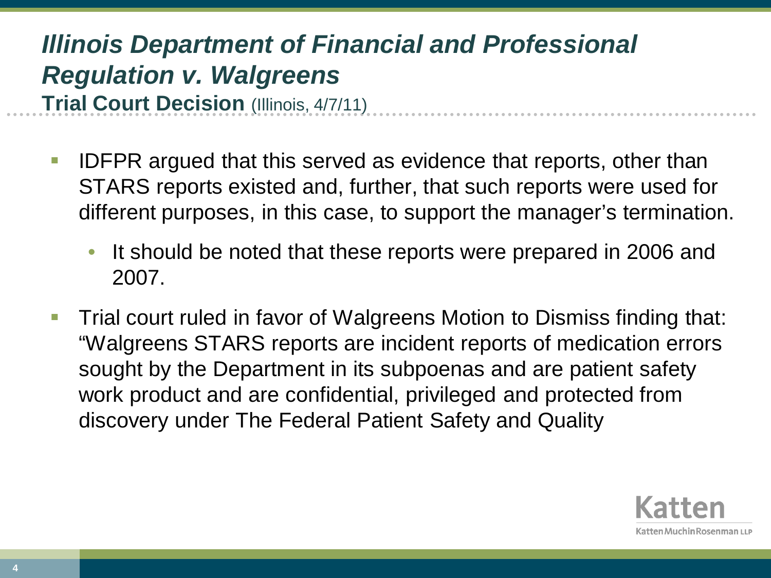- IDFPR argued that this served as evidence that reports, other than STARS reports existed and, further, that such reports were used for different purposes, in this case, to support the manager's termination.
	- It should be noted that these reports were prepared in 2006 and 2007.
- Trial court ruled in favor of Walgreens Motion to Dismiss finding that: "Walgreens STARS reports are incident reports of medication errors sought by the Department in its subpoenas and are patient safety work product and are confidential, privileged and protected from discovery under The Federal Patient Safety and Quality

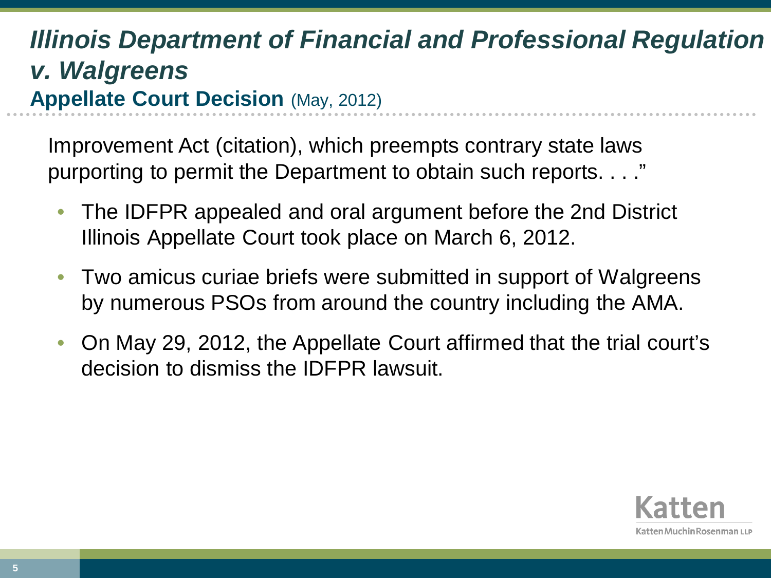Improvement Act (citation), which preempts contrary state laws purporting to permit the Department to obtain such reports. . . ."

- The IDFPR appealed and oral argument before the 2nd District Illinois Appellate Court took place on March 6, 2012.
- Two amicus curiae briefs were submitted in support of Walgreens by numerous PSOs from around the country including the AMA.
- On May 29, 2012, the Appellate Court affirmed that the trial court's decision to dismiss the IDFPR lawsuit.

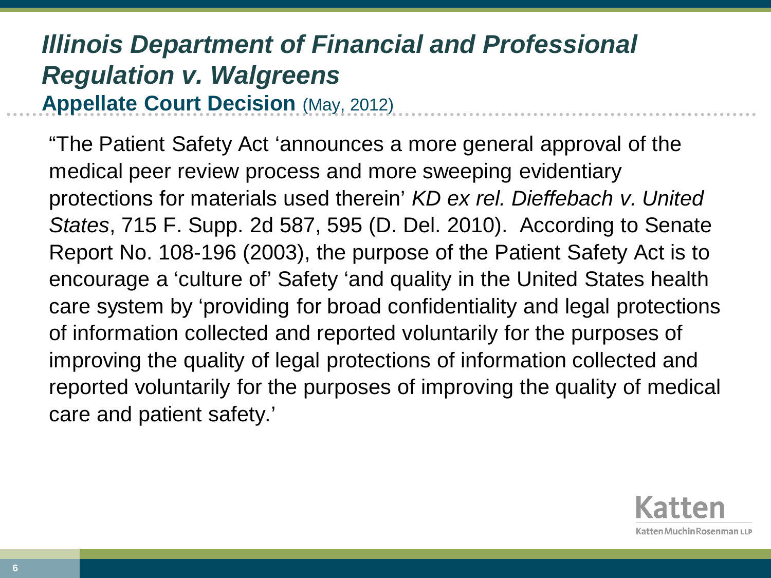"The Patient Safety Act 'announces a more general approval of the medical peer review process and more sweeping evidentiary protections for materials used therein' *KD ex rel. Dieffebach v. United States*, 715 F. Supp. 2d 587, 595 (D. Del. 2010). According to Senate Report No. 108-196 (2003), the purpose of the Patient Safety Act is to encourage a 'culture of' Safety 'and quality in the United States health care system by 'providing for broad confidentiality and legal protections of information collected and reported voluntarily for the purposes of improving the quality of legal protections of information collected and reported voluntarily for the purposes of improving the quality of medical care and patient safety.'

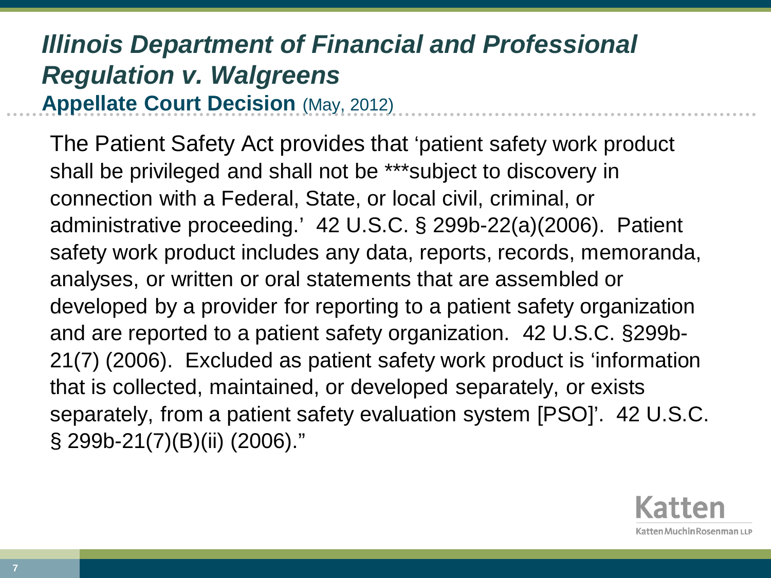The Patient Safety Act provides that 'patient safety work product shall be privileged and shall not be \*\*\*subject to discovery in connection with a Federal, State, or local civil, criminal, or administrative proceeding.' 42 U.S.C. § 299b-22(a)(2006). Patient safety work product includes any data, reports, records, memoranda, analyses, or written or oral statements that are assembled or developed by a provider for reporting to a patient safety organization and are reported to a patient safety organization. 42 U.S.C. §299b-21(7) (2006). Excluded as patient safety work product is 'information that is collected, maintained, or developed separately, or exists separately, from a patient safety evaluation system [PSO]'. 42 U.S.C. § 299b-21(7)(B)(ii) (2006)."

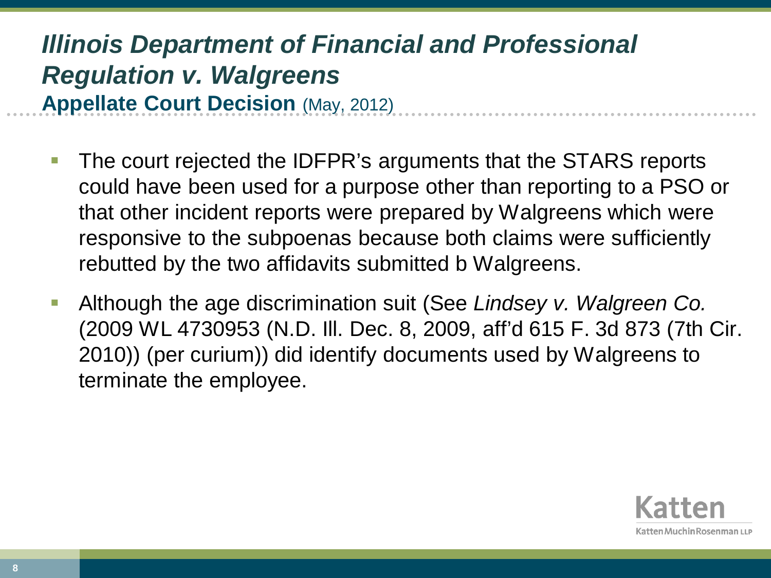- The court rejected the IDFPR's arguments that the STARS reports could have been used for a purpose other than reporting to a PSO or that other incident reports were prepared by Walgreens which were responsive to the subpoenas because both claims were sufficiently rebutted by the two affidavits submitted b Walgreens.
- Although the age discrimination suit (See *Lindsey v. Walgreen Co.* (2009 WL 4730953 (N.D. Ill. Dec. 8, 2009, aff'd 615 F. 3d 873 (7th Cir. 2010)) (per curium)) did identify documents used by Walgreens to terminate the employee.

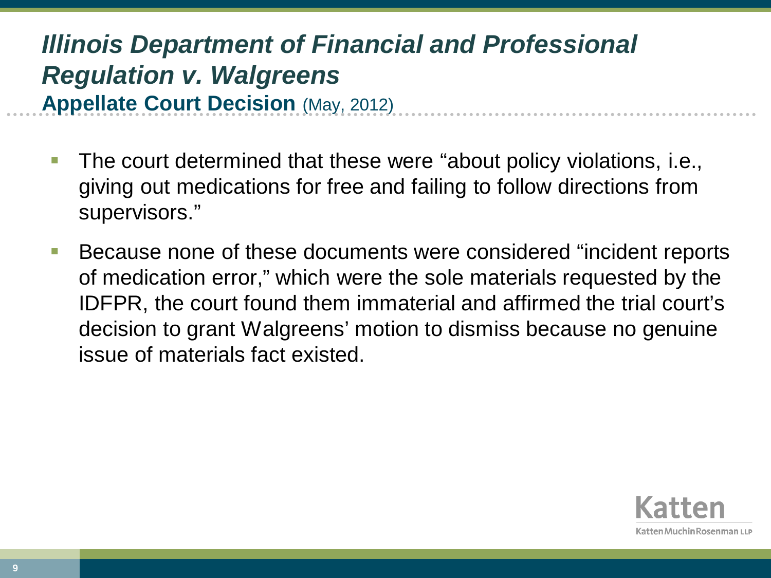- The court determined that these were "about policy violations, i.e., giving out medications for free and failing to follow directions from supervisors."
- Because none of these documents were considered "incident reports of medication error," which were the sole materials requested by the IDFPR, the court found them immaterial and affirmed the trial court's decision to grant Walgreens' motion to dismiss because no genuine issue of materials fact existed.

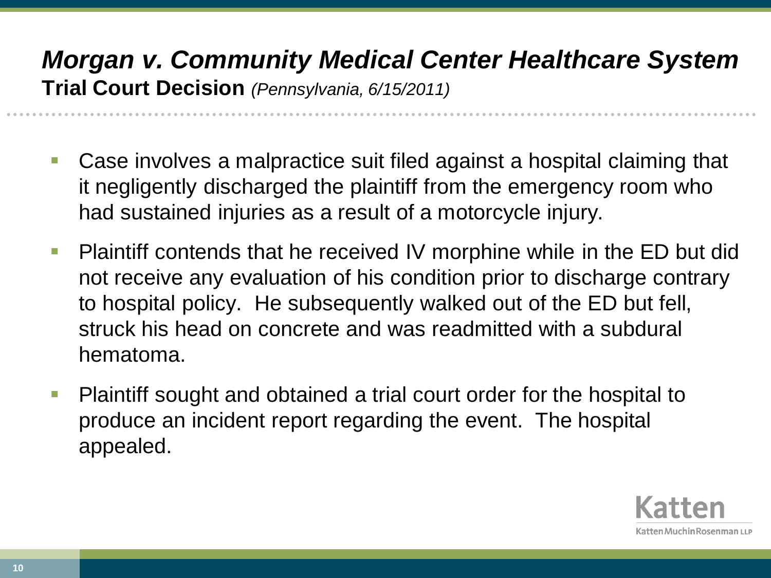## *Morgan v. Community Medical Center Healthcare System*  **Trial Court Decision** *(Pennsylvania, 6/15/2011)*

- Case involves a malpractice suit filed against a hospital claiming that it negligently discharged the plaintiff from the emergency room who had sustained injuries as a result of a motorcycle injury.
- **Plaintiff contends that he received IV morphine while in the ED but did** not receive any evaluation of his condition prior to discharge contrary to hospital policy. He subsequently walked out of the ED but fell, struck his head on concrete and was readmitted with a subdural hematoma.
- Plaintiff sought and obtained a trial court order for the hospital to produce an incident report regarding the event. The hospital appealed.

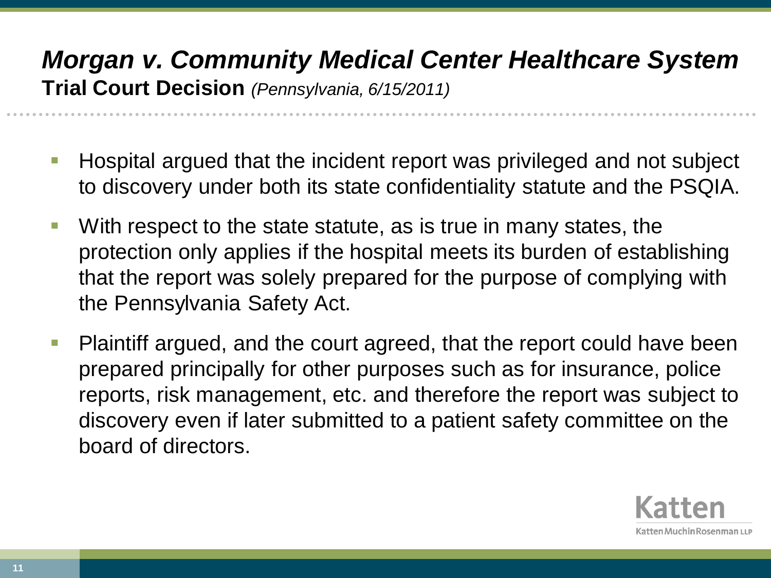## *Morgan v. Community Medical Center Healthcare System*  **Trial Court Decision** *(Pennsylvania, 6/15/2011)*

- Hospital argued that the incident report was privileged and not subject to discovery under both its state confidentiality statute and the PSQIA.
- With respect to the state statute, as is true in many states, the protection only applies if the hospital meets its burden of establishing that the report was solely prepared for the purpose of complying with the Pennsylvania Safety Act.
- Plaintiff argued, and the court agreed, that the report could have been prepared principally for other purposes such as for insurance, police reports, risk management, etc. and therefore the report was subject to discovery even if later submitted to a patient safety committee on the board of directors.

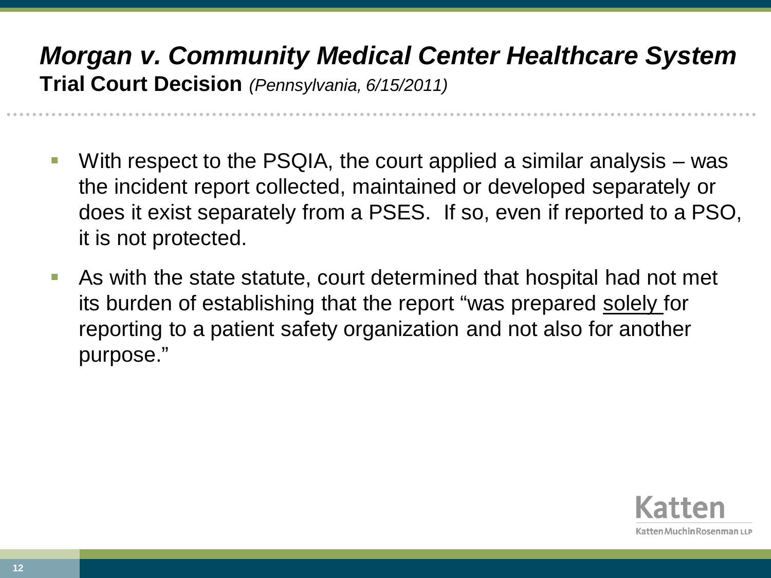## *Morgan v. Community Medical Center Healthcare System*  **Trial Court Decision** *(Pennsylvania, 6/15/2011)*

- With respect to the PSQIA, the court applied a similar analysis was the incident report collected, maintained or developed separately or does it exist separately from a PSES. If so, even if reported to a PSO, it is not protected.
- As with the state statute, court determined that hospital had not met its burden of establishing that the report "was prepared solely for reporting to a patient safety organization and not also for another purpose."

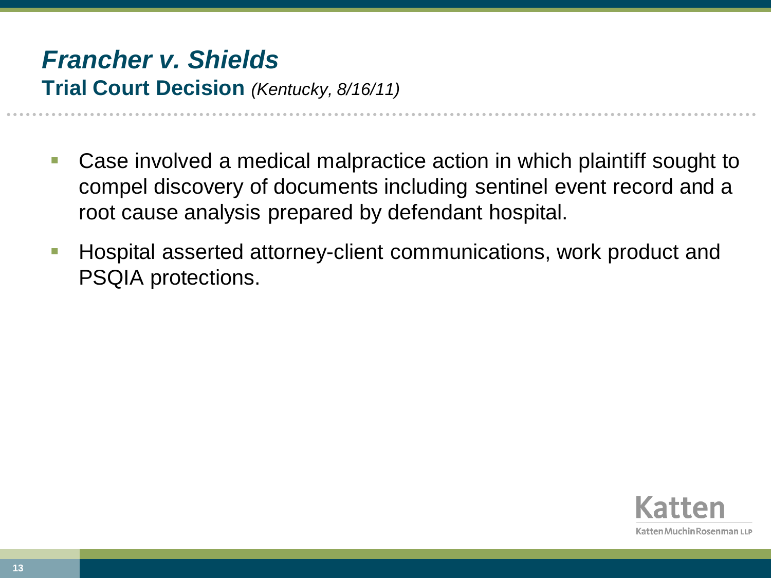- Case involved a medical malpractice action in which plaintiff sought to compel discovery of documents including sentinel event record and a root cause analysis prepared by defendant hospital.
- **Hospital asserted attorney-client communications, work product and** PSQIA protections.

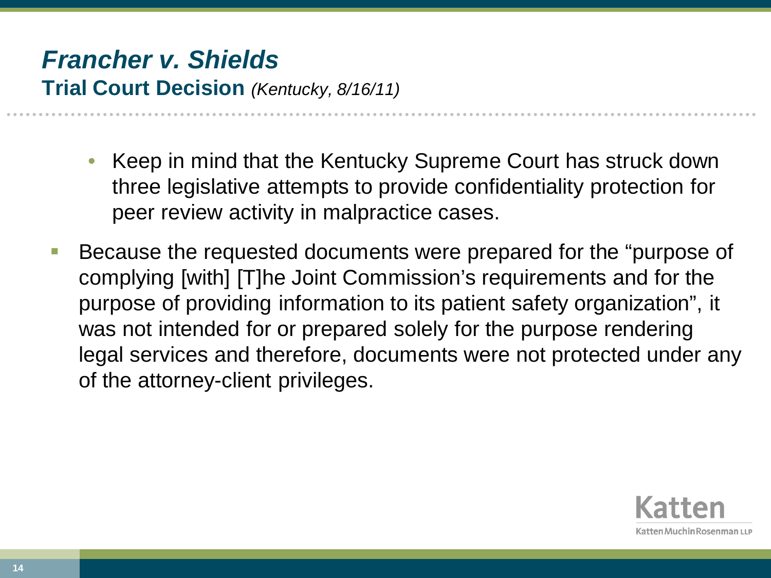- Keep in mind that the Kentucky Supreme Court has struck down three legislative attempts to provide confidentiality protection for peer review activity in malpractice cases.
- Because the requested documents were prepared for the "purpose of complying [with] [T]he Joint Commission's requirements and for the purpose of providing information to its patient safety organization", it was not intended for or prepared solely for the purpose rendering legal services and therefore, documents were not protected under any of the attorney-client privileges.

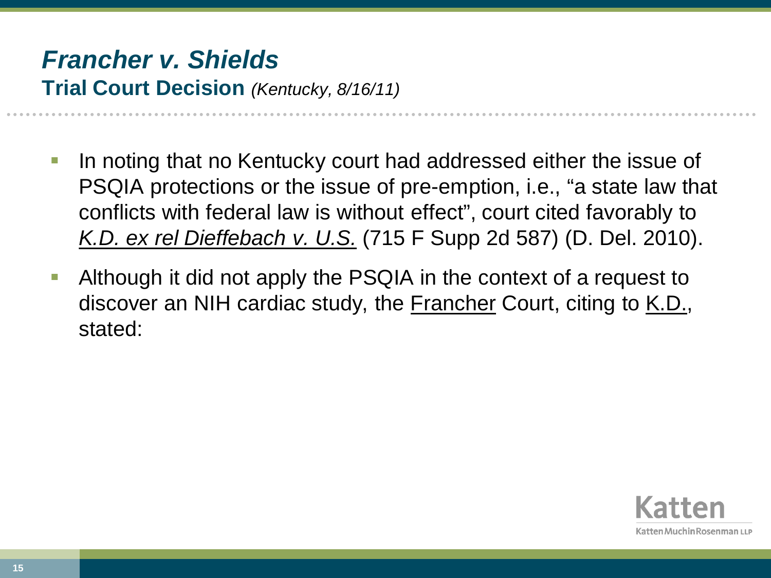- In noting that no Kentucky court had addressed either the issue of PSQIA protections or the issue of pre-emption, i.e., "a state law that conflicts with federal law is without effect", court cited favorably to *K.D. ex rel Dieffebach v. U.S.* (715 F Supp 2d 587) (D. Del. 2010).
- Although it did not apply the PSQIA in the context of a request to discover an NIH cardiac study, the **Francher** Court, citing to K.D., stated:

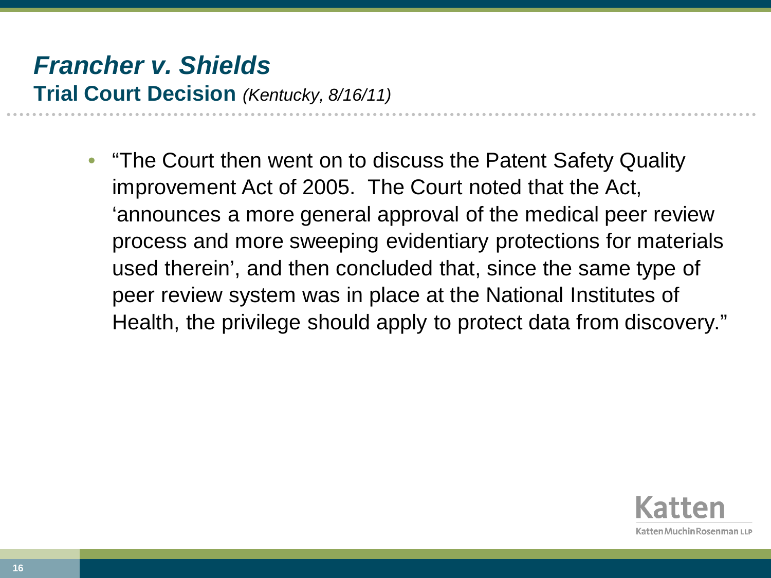• "The Court then went on to discuss the Patent Safety Quality improvement Act of 2005. The Court noted that the Act, 'announces a more general approval of the medical peer review process and more sweeping evidentiary protections for materials used therein', and then concluded that, since the same type of peer review system was in place at the National Institutes of Health, the privilege should apply to protect data from discovery."

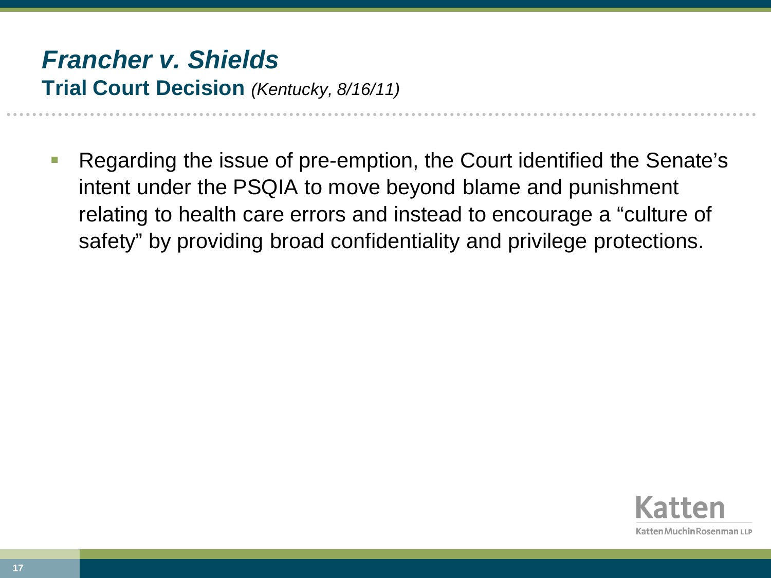Regarding the issue of pre-emption, the Court identified the Senate's intent under the PSQIA to move beyond blame and punishment relating to health care errors and instead to encourage a "culture of safety" by providing broad confidentiality and privilege protections.

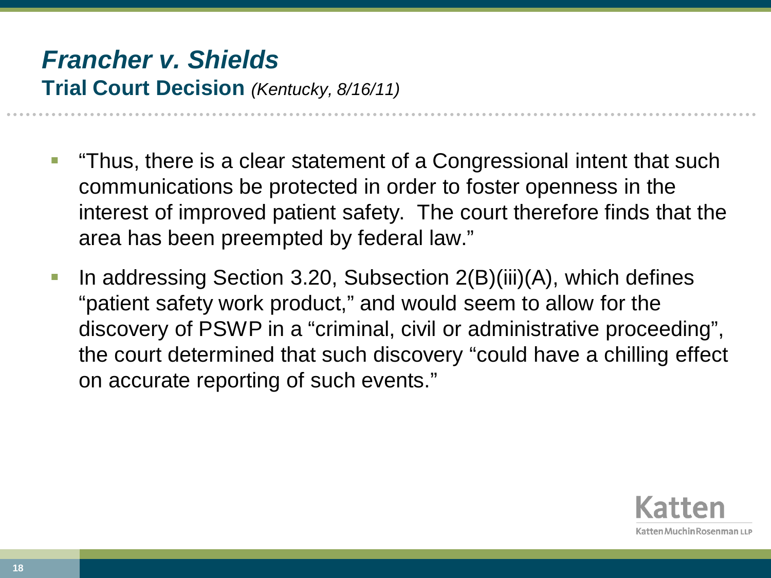- "Thus, there is a clear statement of a Congressional intent that such communications be protected in order to foster openness in the interest of improved patient safety. The court therefore finds that the area has been preempted by federal law."
- In addressing Section 3.20, Subsection 2(B)(iii)(A), which defines "patient safety work product," and would seem to allow for the discovery of PSWP in a "criminal, civil or administrative proceeding", the court determined that such discovery "could have a chilling effect on accurate reporting of such events."

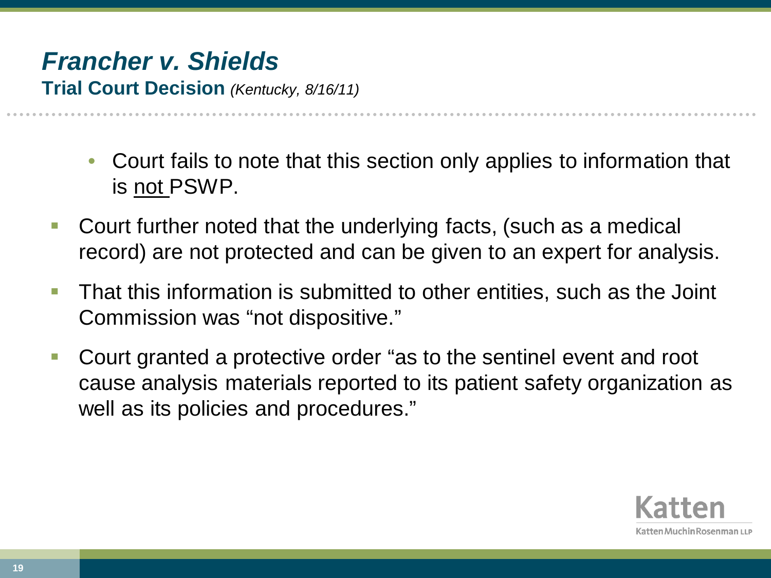# *Francher v. Shields*

**Trial Court Decision** *(Kentucky, 8/16/11)*

- Court fails to note that this section only applies to information that is not PSWP.
- Court further noted that the underlying facts, (such as a medical record) are not protected and can be given to an expert for analysis.
- **That this information is submitted to other entities, such as the Joint** Commission was "not dispositive."
- Court granted a protective order "as to the sentinel event and root cause analysis materials reported to its patient safety organization as well as its policies and procedures."

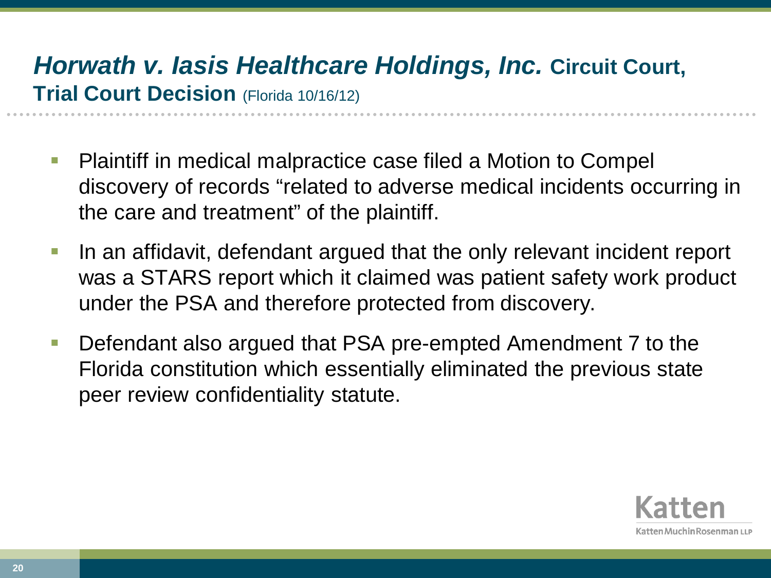## *Horwath v. Iasis Healthcare Holdings, Inc.* **Circuit Court, Trial Court Decision** (Florida 10/16/12)

- Plaintiff in medical malpractice case filed a Motion to Compel discovery of records "related to adverse medical incidents occurring in the care and treatment" of the plaintiff.
- In an affidavit, defendant argued that the only relevant incident report was a STARS report which it claimed was patient safety work product under the PSA and therefore protected from discovery.
- Defendant also argued that PSA pre-empted Amendment 7 to the Florida constitution which essentially eliminated the previous state peer review confidentiality statute.

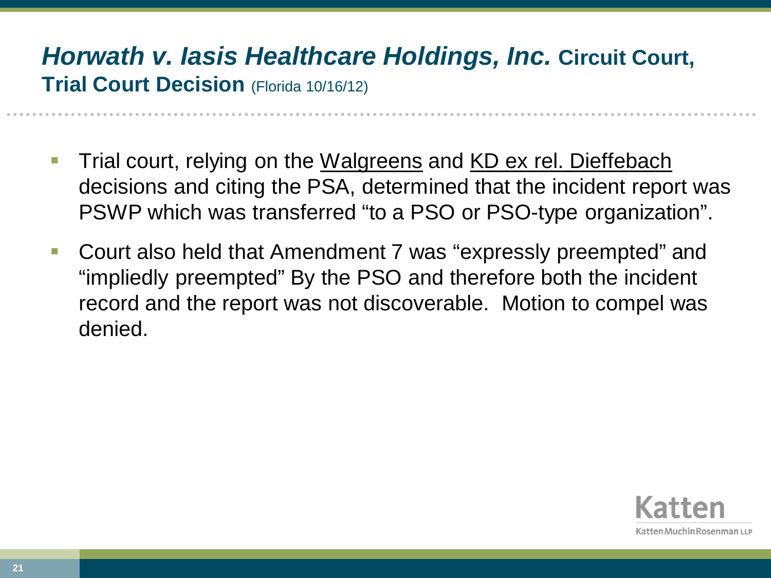#### *Horwath v. Iasis Healthcare Holdings, Inc.* **Circuit Court, Trial Court Decision** (Florida 10/16/12)

- Trial court, relying on the Walgreens and KD ex rel. Dieffebach decisions and citing the PSA, determined that the incident report was PSWP which was transferred "to a PSO or PSO-type organization".
- Court also held that Amendment 7 was "expressly preempted" and "impliedly preempted" By the PSO and therefore both the incident record and the report was not discoverable. Motion to compel was denied.

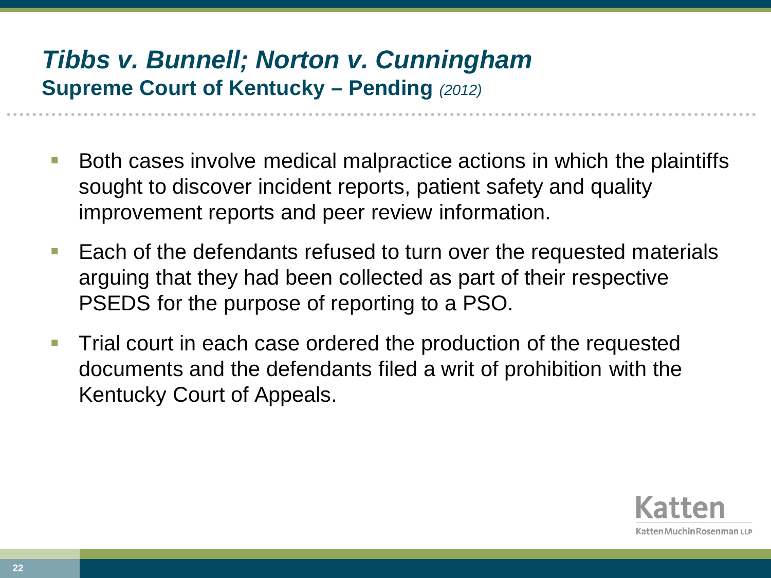### *Tibbs v. Bunnell; Norton v. Cunningham*  **Supreme Court of Kentucky – Pending** *(2012)*

- Both cases involve medical malpractice actions in which the plaintiffs sought to discover incident reports, patient safety and quality improvement reports and peer review information.
- Each of the defendants refused to turn over the requested materials arguing that they had been collected as part of their respective PSEDS for the purpose of reporting to a PSO.
- **Trial court in each case ordered the production of the requested** documents and the defendants filed a writ of prohibition with the Kentucky Court of Appeals.

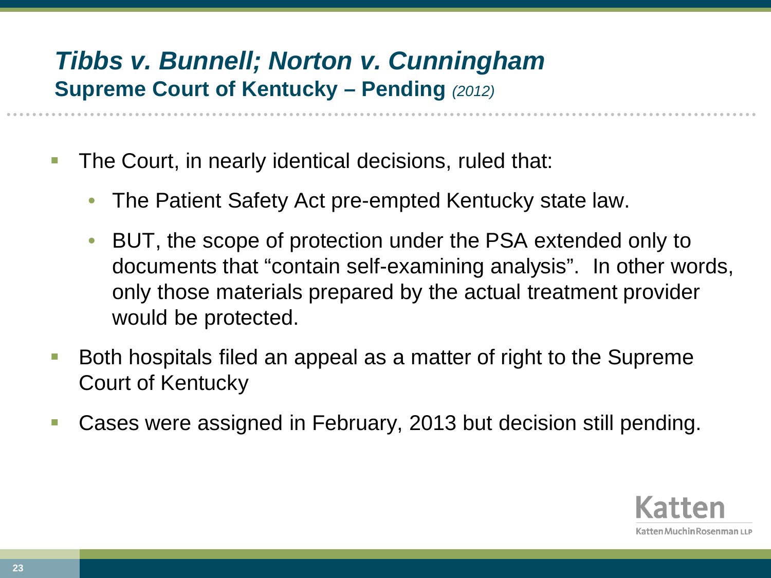#### *Tibbs v. Bunnell; Norton v. Cunningham*  **Supreme Court of Kentucky – Pending** *(2012)*

- **The Court, in nearly identical decisions, ruled that:** 
	- The Patient Safety Act pre-empted Kentucky state law.
	- BUT, the scope of protection under the PSA extended only to documents that "contain self-examining analysis". In other words, only those materials prepared by the actual treatment provider would be protected.
- Both hospitals filed an appeal as a matter of right to the Supreme Court of Kentucky
- Cases were assigned in February, 2013 but decision still pending.

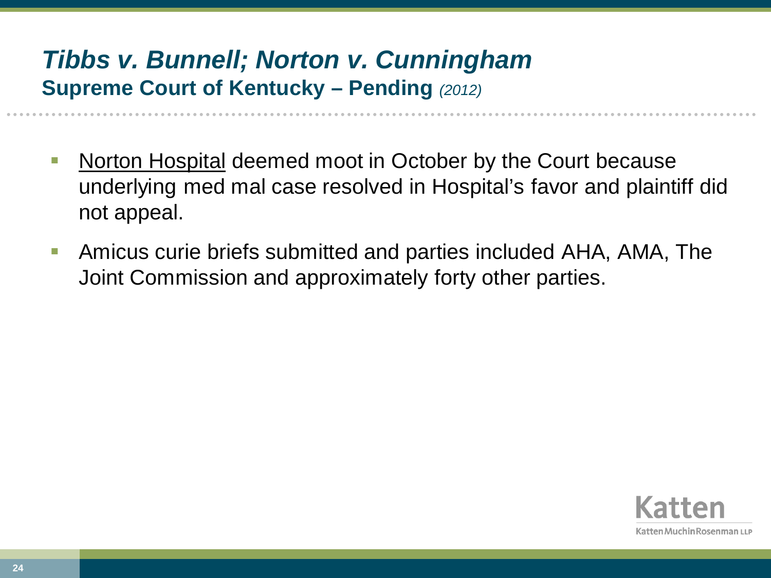### *Tibbs v. Bunnell; Norton v. Cunningham*  **Supreme Court of Kentucky – Pending** *(2012)*

- **Norton Hospital deemed moot in October by the Court because** underlying med mal case resolved in Hospital's favor and plaintiff did not appeal.
- Amicus curie briefs submitted and parties included AHA, AMA, The Joint Commission and approximately forty other parties.

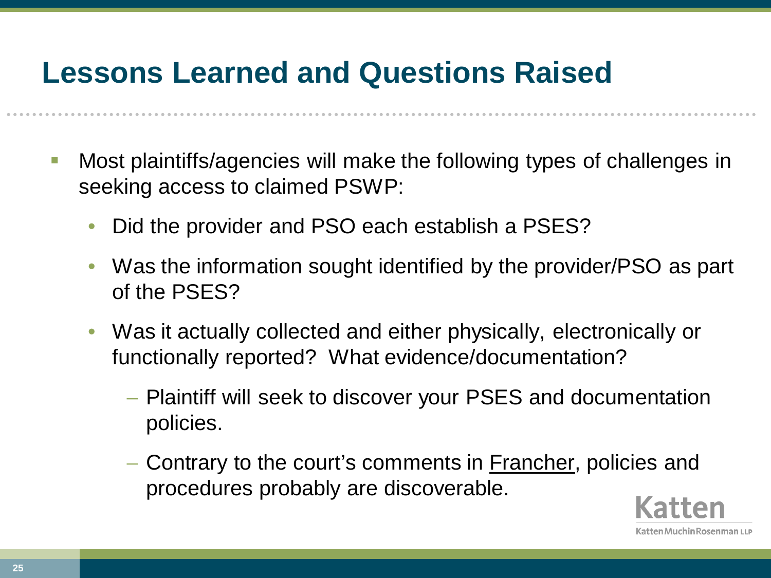# **Lessons Learned and Questions Raised**

- Most plaintiffs/agencies will make the following types of challenges in seeking access to claimed PSWP:
	- Did the provider and PSO each establish a PSES?
	- Was the information sought identified by the provider/PSO as part of the PSES?
	- Was it actually collected and either physically, electronically or functionally reported? What evidence/documentation?
		- − Plaintiff will seek to discover your PSES and documentation policies.
		- − Contrary to the court's comments in Francher, policies and procedures probably are discoverable.

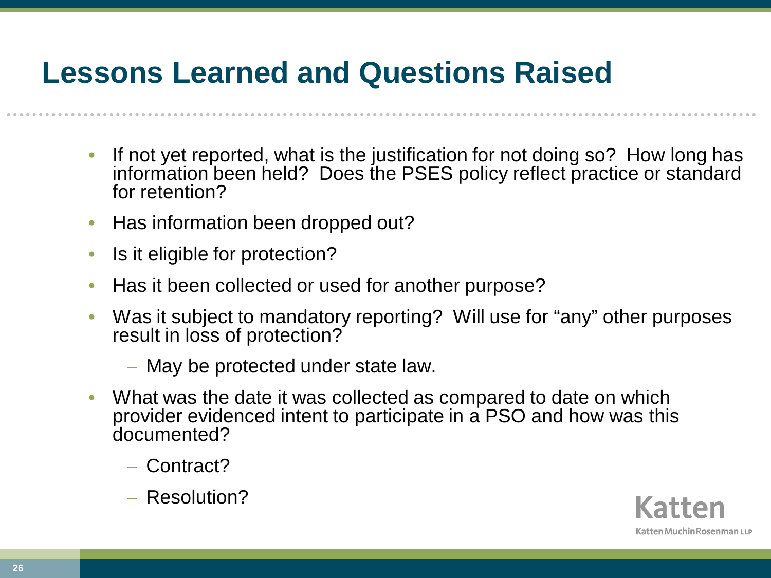# **Lessons Learned and Questions Raised**

- If not yet reported, what is the justification for not doing so? How long has information been held? Does the PSES policy reflect practice or standard for retention?
- Has information been dropped out?
- Is it eligible for protection?
- Has it been collected or used for another purpose?
- Was it subject to mandatory reporting? Will use for "any" other purposes result in loss of protection?
	- − May be protected under state law.
- What was the date it was collected as compared to date on which provider evidenced intent to participate in a PSO and how was this documented?
	- − Contract?
	- − Resolution?